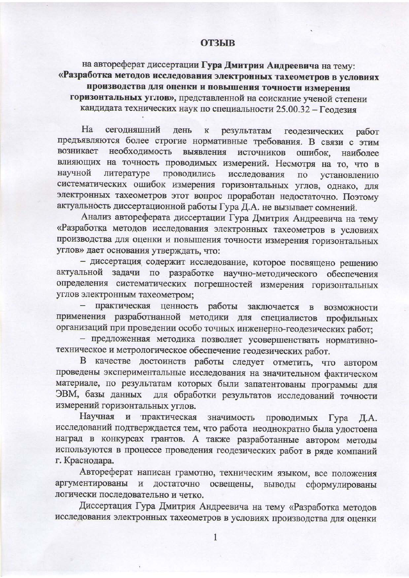## **ОТЗЫВ**

на автореферат диссертации Гура Дмитрия Андреевича на тему: «Разработка методов исследования электронных тахеометров в условиях производства для оценки и повышения точности измерения горизонтальных углов», представленной на соискание ученой степени кандидата технических наук по специальности 25.00.32 - Геодезия

Ha сегодняшний день  $\bf K$ результатам геодезических работ предъявляются более строгие нормативные требования. В связи с этим возникает необходимость выявления источников ошибок, наиболее влияющих на точность проводимых измерений. Несмотря на то, что в научной литературе проводились исследования  $\Pi{\rm O}$ установлению систематических ошибок измерения горизонтальных углов, однако, для электронных тахеометров этот вопрос проработан недостаточно. Поэтому актуальность диссертационной работы Гура Д.А. не вызывает сомнений.

Анализ автореферата диссертации Гура Дмитрия Андреевича на тему «Разработка методов исследования электронных тахеометров в условиях производства для оценки и повышения точности измерения горизонтальных углов» дает основания утверждать, что:

- диссертация содержит исследование, которое посвящено решению актуальной задачи по разработке научно-методического обеспечения определения систематических погрешностей измерения горизонтальных углов электронным тахеометром;

практическая ценность работы заключается  $\, {\bf B}$ возможности применения разработнанной методики для специалистов профильных организаций при проведении особо точных инженерно-геодезических работ;

- предложенная методика позволяет усовершенствать нормативнотехническое и метрологическое обеспечение геодезических работ.

В качестве достоинств работы следует отметить, что автором проведены экспериментальные исследования на значительном фактическом материале, по результатам которых были запатентованы программы для ЭВМ, базы данных для обработки результатов исследований точности измерений горизонтальных углов.

Научная и практическая значимость проводимых Гура Д.А. исследований подтверждается тем, что работа неоднократно была удостоена наград в конкурсах грантов. А также разработанные автором методы используются в процессе проведения геодезических работ в ряде компаний г. Краснодара.

Автореферат написан грамотно, техническим языком, все положения аргументированы и достаточно освещены, выводы сформулированы логически последовательно и четко.

Диссертация Гура Дмитрия Андреевича на тему «Разработка методов исследования электронных тахеометров в условиях производства для оценки